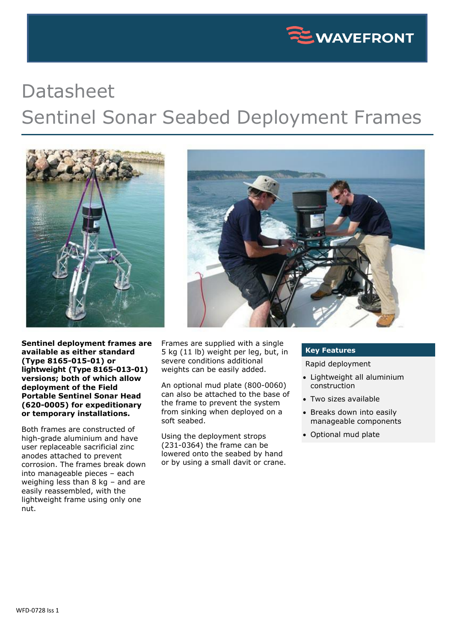

## Datasheet Sentinel Sonar Seabed Deployment Frames



**Sentinel deployment frames are available as either standard (Type 8165-015-01) or lightweight (Type 8165-013-01) versions; both of which allow deployment of the Field Portable Sentinel Sonar Head (620-0005) for expeditionary or temporary installations.**

Both frames are constructed of high-grade aluminium and have user replaceable sacrificial zinc anodes attached to prevent corrosion. The frames break down into manageable pieces – each weighing less than 8 kg – and are easily reassembled, with the lightweight frame using only one nut.



Frames are supplied with a single 5 kg (11 lb) weight per leg, but, in severe conditions additional weights can be easily added.

An optional mud plate (800-0060) can also be attached to the base of the frame to prevent the system from sinking when deployed on a soft seabed.

Using the deployment strops (231-0364) the frame can be lowered onto the seabed by hand or by using a small davit or crane.

## **Key Features**

Rapid deployment

- Lightweight all aluminium construction
- Two sizes available
- Breaks down into easily manageable components
- Optional mud plate